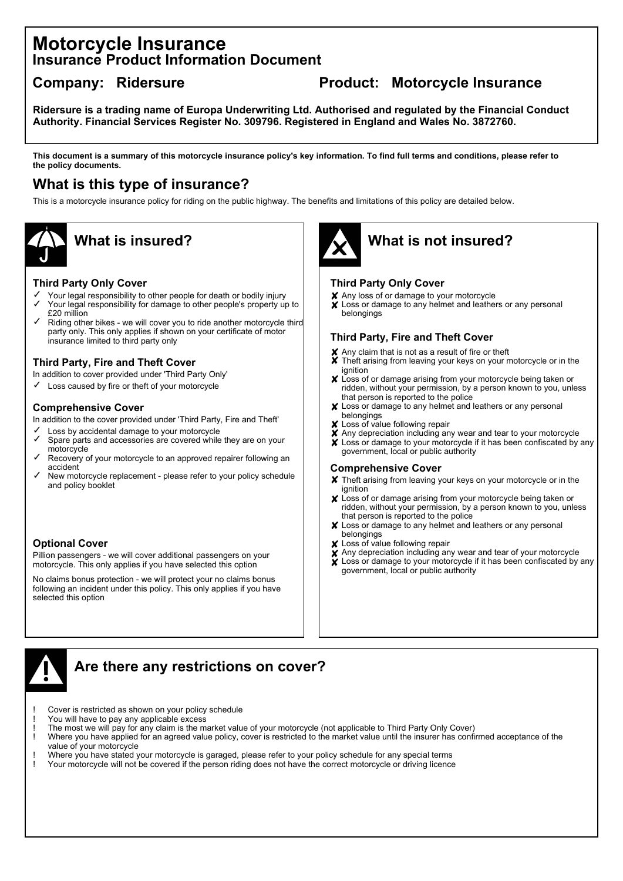## **Motorcycle Insurance Insurance Product Information Document**

## **Company: Ridersure Product: Motorcycle Insurance**

**Ridersure is a trading name of Europa Underwriting Ltd. Authorised and regulated by the Financial Conduct Authority. Financial Services Register No. 309796. Registered in England and Wales No. 3872760.**

**This document is a summary of this motorcycle insurance policy's key information. To find full terms and conditions, please refer to the policy documents.**

## **What is this type of insurance?**

This is a motorcycle insurance policy for riding on the public highway. The benefits and limitations of this policy are detailed below.



#### **Third Party Only Cover**

- ✓ Your legal responsibility to other people for death or bodily injury
- ✓ Your legal responsibility for damage to other people's property up to £20 million
- ✓ Riding other bikes - we will cover you to ride another motorcycle third party only. This only applies if shown on your certificate of motor insurance limited to third party only

### **Third Party, Fire and Theft Cover**

In addition to cover provided under 'Third Party Only'

✓ Loss caused by fire or theft of your motorcycle

#### **Comprehensive Cover**

In addition to the cover provided under 'Third Party, Fire and Theft'

- ✓ Loss by accidental damage to your motorcycle
- ✓ Spare parts and accessories are covered while they are on your motorcycle
- ✓ Recovery of your motorcycle to an approved repairer following an accident
- ✓ New motorcycle replacement - please refer to your policy schedule and policy booklet

### **Optional Cover**

Pillion passengers - we will cover additional passengers on your motorcycle. This only applies if you have selected this option

No claims bonus protection - we will protect your no claims bonus following an incident under this policy. This only applies if you have selected this option



# **What is insured? What is not insured?**

#### **Third Party Only Cover**

- Any loss of or damage to your motorcycle ✘
- Loss or damage to any helmet and leathers or any personal ✘ belongings

### **Third Party, Fire and Theft Cover**

- Any claim that is not as a result of fire or theft ✘
- Theft arising from leaving your keys on your motorcycle or in the ✘ ignition
- Loss of or damage arising from your motorcycle being taken or ✘ ridden, without your permission, by a person known to you, unless that person is reported to the police
- Loss or damage to any helmet and leathers or any personal ✘belongings
- ✘ Loss of value following repair
- ✘ Any depreciation including any wear and tear to your motorcycle
- ✘ Loss or damage to your motorcycle if it has been confiscated by any government, local or public authority

#### **Comprehensive Cover**

- ✘ Theft arising from leaving your keys on your motorcycle or in the ignition
- ✘ Loss of or damage arising from your motorcycle being taken or ridden, without your permission, by a person known to you, unless that person is reported to the police
- ✘ Loss or damage to any helmet and leathers or any personal belongings
- ✘ Loss of value following repair
- ✘ Any depreciation including any wear and tear of your motorcycle
- ✘ Loss or damage to your motorcycle if it has been confiscated by any government, local or public authority



## **Are there any restrictions on cover?**

- Cover is restricted as shown on your policy schedule
- You will have to pay any applicable excess
- The most we will pay for any claim is the market value of your motorcycle (not applicable to Third Party Only Cover)
- Where you have applied for an agreed value policy, cover is restricted to the market value until the insurer has confirmed acceptance of the value of your motorcycle
- Where you have stated your motorcycle is garaged, please refer to your policy schedule for any special terms
- ! Your motorcycle will not be covered if the person riding does not have the correct motorcycle or driving licence